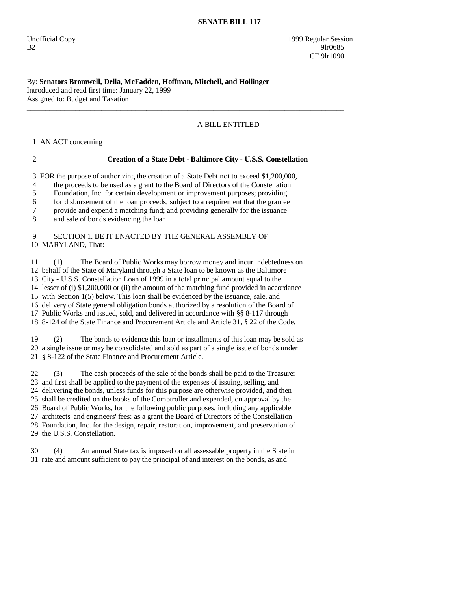### **SENATE BILL 117**

## By: **Senators Bromwell, Della, McFadden, Hoffman, Mitchell, and Hollinger**  Introduced and read first time: January 22, 1999 Assigned to: Budget and Taxation

\_\_\_\_\_\_\_\_\_\_\_\_\_\_\_\_\_\_\_\_\_\_\_\_\_\_\_\_\_\_\_\_\_\_\_\_\_\_\_\_\_\_\_\_\_\_\_\_\_\_\_\_\_\_\_\_\_\_\_\_\_\_\_\_\_\_\_\_\_\_\_\_\_\_\_\_\_\_\_\_\_\_\_\_

\_\_\_\_\_\_\_\_\_\_\_\_\_\_\_\_\_\_\_\_\_\_\_\_\_\_\_\_\_\_\_\_\_\_\_\_\_\_\_\_\_\_\_\_\_\_\_\_\_\_\_\_\_\_\_\_\_\_\_\_\_\_\_\_\_\_\_\_\_\_\_\_\_\_\_\_\_\_\_\_\_\_\_\_\_

# A BILL ENTITLED

1 AN ACT concerning

## 2 **Creation of a State Debt - Baltimore City - U.S.S. Constellation**

3 FOR the purpose of authorizing the creation of a State Debt not to exceed \$1,200,000,

4 the proceeds to be used as a grant to the Board of Directors of the Constellation

5 Foundation, Inc. for certain development or improvement purposes; providing

6 for disbursement of the loan proceeds, subject to a requirement that the grantee

7 provide and expend a matching fund; and providing generally for the issuance

8 and sale of bonds evidencing the loan.

## 9 SECTION 1. BE IT ENACTED BY THE GENERAL ASSEMBLY OF 10 MARYLAND, That:

 11 (1) The Board of Public Works may borrow money and incur indebtedness on 12 behalf of the State of Maryland through a State loan to be known as the Baltimore 13 City - U.S.S. Constellation Loan of 1999 in a total principal amount equal to the 14 lesser of (i) \$1,200,000 or (ii) the amount of the matching fund provided in accordance 15 with Section 1(5) below. This loan shall be evidenced by the issuance, sale, and 16 delivery of State general obligation bonds authorized by a resolution of the Board of 17 Public Works and issued, sold, and delivered in accordance with §§ 8-117 through 18 8-124 of the State Finance and Procurement Article and Article 31, § 22 of the Code.

 19 (2) The bonds to evidence this loan or installments of this loan may be sold as 20 a single issue or may be consolidated and sold as part of a single issue of bonds under 21 § 8-122 of the State Finance and Procurement Article.

 22 (3) The cash proceeds of the sale of the bonds shall be paid to the Treasurer 23 and first shall be applied to the payment of the expenses of issuing, selling, and 24 delivering the bonds, unless funds for this purpose are otherwise provided, and then 25 shall be credited on the books of the Comptroller and expended, on approval by the 26 Board of Public Works, for the following public purposes, including any applicable 27 architects' and engineers' fees: as a grant the Board of Directors of the Constellation 28 Foundation, Inc. for the design, repair, restoration, improvement, and preservation of 29 the U.S.S. Constellation.

 30 (4) An annual State tax is imposed on all assessable property in the State in 31 rate and amount sufficient to pay the principal of and interest on the bonds, as and